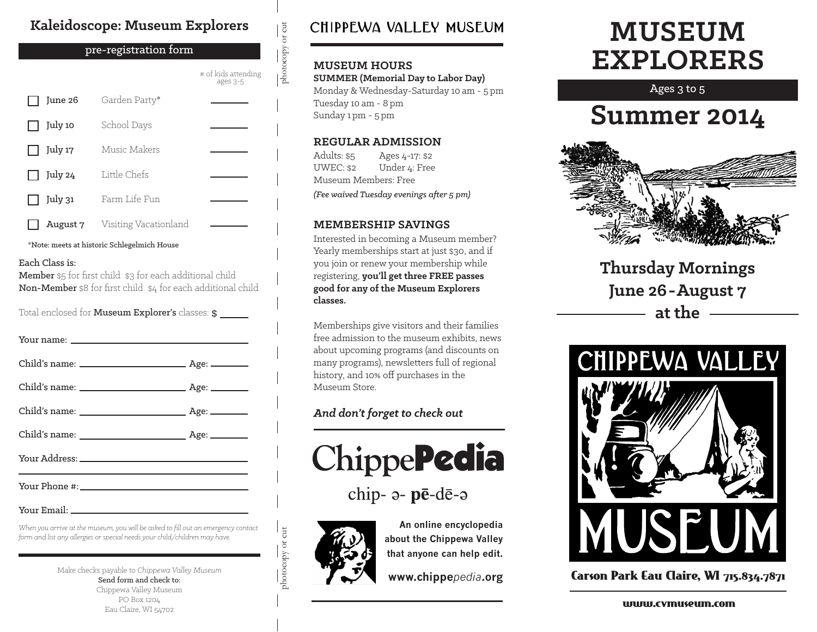## **Kaleidoscope: Museum Explorers**

pre-registration form

| pre-registration form                       |                       |                                 |
|---------------------------------------------|-----------------------|---------------------------------|
|                                             |                       | # of kids attending<br>ages 3-5 |
| June 26                                     | Garden Party*         |                                 |
| July 10                                     | School Days           |                                 |
| July 17                                     | Music Makers          |                                 |
| July 24                                     | Little Chefs          |                                 |
| July 31                                     | Farm Life Fun         |                                 |
| August 7                                    | Visiting Vacationland |                                 |
| *Note: meets at historic Schlegelmich House |                       |                                 |

#### Each Class is:

Member \$5 for first child \$3 for each additional child Non-Member \$8 for first child \$4 for each additional child

Total enclosed for Museum Explorer's classes: \$

Your Email:

*When you arrive at the museum, you will be asked to fill out an emergency contact form and list any allergies or special needs your child/children may have.*

> Make checks payable to *Chippewa Valley Museum* Send form and check to: Chippewa Valley Museum PO Box 1204 Eau Claire, WI 54702

## CHIPPEWA VALLEY MUSEUM

#### **MUSEUM HOURS**

photocopy or cut

photocopy or cut

**SUMMER (Memorial Day to Labor Day)**

Monday & Wednesday-Saturday 10 am - 5 pm Tuesday 10 am - 8 pm Sunday 1 pm - 5 pm

#### **REGULAR ADMISSION**

Adults: \$5 UWEC: \$2 Ages 4-17: \$2 Under 4: Free Museum Members: Free *(Fee waived Tuesday evenings after 5 pm)*

#### **MEMBERSHIP SAVINGS**

Interested in becoming a Museum member? Yearly memberships start at just \$30, and if you join or renew your membership while registering, **you'll get three FREE passes good for any of the Museum Explorers classes.**

Memberships give visitors and their families free admission to the museum exhibits, news about upcoming programs (and discounts on many programs), newsletters full of regional history, and 10% off purchases in the Museum Store.

### *And don't forget to check out*



chip- a- pē-dē-a



photocopy or cut

photocopy or cut

**An online encyclopedia about the Chippewa Valley that anyone can help edit.**

**www.chippe***pedia***.org**

# **MUSEUM EXPLORERS**

Ages 3 to 5

## **Summer 2014**



**Thursday Mornings June 26-August 7 at the**



Carson Park Eau Claire, WI 715.834.7871